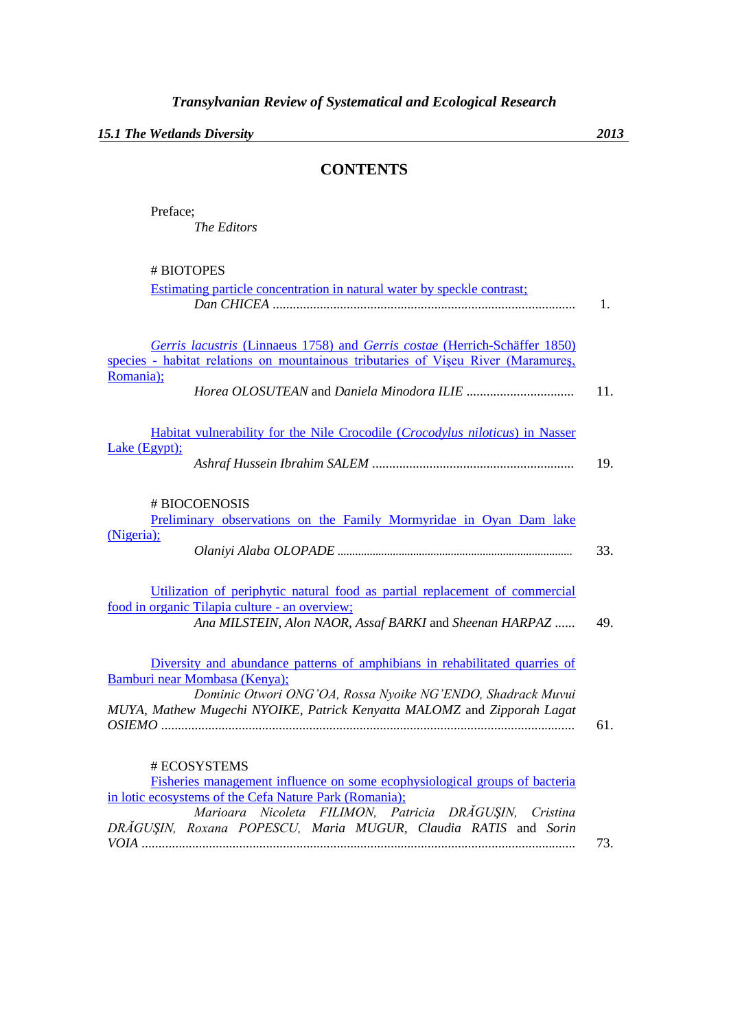*15.1 The Wetlands Diversity 2013*

## **CONTENTS**

Preface; *The Editors*

# BIOTOPES

| Estimating particle concentration in natural water by speckle contrast;                                                        |     |
|--------------------------------------------------------------------------------------------------------------------------------|-----|
|                                                                                                                                | 1.  |
|                                                                                                                                |     |
| Gerris lacustris (Linnaeus 1758) and Gerris costae (Herrich-Schäffer 1850)                                                     |     |
| species - habitat relations on mountainous tributaries of Viseu River (Maramures,                                              |     |
| Romania);                                                                                                                      | 11. |
| Habitat vulnerability for the Nile Crocodile (Crocodylus niloticus) in Nasser                                                  |     |
| Lake (Egypt);                                                                                                                  | 19. |
| # BIOCOENOSIS                                                                                                                  |     |
| Preliminary observations on the Family Mormyridae in Oyan Dam lake                                                             |     |
| (Nigeria);                                                                                                                     | 33. |
| Utilization of periphytic natural food as partial replacement of commercial                                                    |     |
| food in organic Tilapia culture - an overview;<br>Ana MILSTEIN, Alon NAOR, Assaf BARKI and Sheenan HARPAZ                      | 49. |
| Diversity and abundance patterns of amphibians in rehabilitated quarries of                                                    |     |
| Bamburi near Mombasa (Kenya);<br>Dominic Otwori ONG'OA, Rossa Nyoike NG'ENDO, Shadrack Muvui                                   |     |
| MUYA, Mathew Mugechi NYOIKE, Patrick Kenyatta MALOMZ and Zipporah Lagat                                                        | 61. |
|                                                                                                                                |     |
| # ECOSYSTEMS                                                                                                                   |     |
| Fisheries management influence on some ecophysiological groups of bacteria                                                     |     |
| in lotic ecosystems of the Cefa Nature Park (Romania);                                                                         |     |
| Nicoleta FILIMON, Patricia DRĂGUȘIN,<br>Marioara<br>Cristina<br>DRAGUSIN, Roxana POPESCU, Maria MUGUR, Claudia RATIS and Sorin |     |
|                                                                                                                                | 73. |